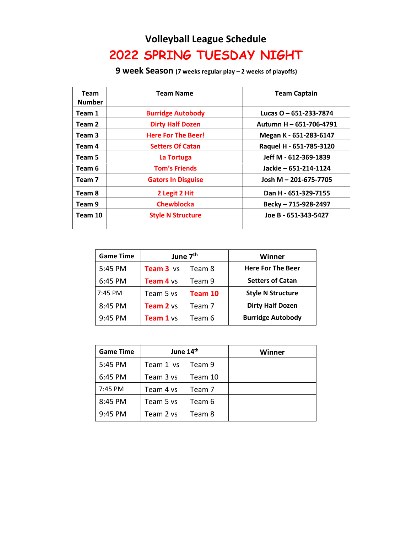## **Volleyball League Schedule 2022 SPRING TUESDAY NIGHT**

**9 week Season (7 weeks regular play – 2 weeks of playoffs)**

| <b>Team</b><br><b>Number</b> | <b>Team Name</b>          | <b>Team Captain</b>     |
|------------------------------|---------------------------|-------------------------|
| Team 1                       | <b>Burridge Autobody</b>  | Lucas O - 651-233-7874  |
| Team 2                       | <b>Dirty Half Dozen</b>   | Autumn H - 651-706-4791 |
| Team 3                       | <b>Here For The Beer!</b> | Megan K - 651-283-6147  |
| Team 4                       | <b>Setters Of Catan</b>   | Raquel H - 651-785-3120 |
| Team 5                       | La Tortuga                | Jeff M - 612-369-1839   |
| Team 6                       | <b>Tom's Friends</b>      | Jackie - 651-214-1124   |
| Team 7                       | <b>Gators In Disguise</b> | Josh M - 201-675-7705   |
| Team 8                       | 2 Legit 2 Hit             | Dan H - 651-329-7155    |
| Team 9                       | <b>Chewblocka</b>         | Becky - 715-928-2497    |
| Team 10                      | <b>Style N Structure</b>  | Joe B - 651-343-5427    |

| <b>Game Time</b> | June 7 <sup>th</sup> |         | Winner                   |
|------------------|----------------------|---------|--------------------------|
| 5:45 PM          | Team 3 vs            | Team 8  | <b>Here For The Beer</b> |
| 6:45 PM          | <b>Team 4 vs</b>     | Team 9  | <b>Setters of Catan</b>  |
| 7:45 PM          | Team 5 vs            | Team 10 | <b>Style N Structure</b> |
| 8:45 PM          | <b>Team 2</b> vs     | Team 7  | <b>Dirty Half Dozen</b>  |
| 9:45 PM          | Team 1 vs            | Team 6  | <b>Burridge Autobody</b> |

| <b>Game Time</b> | June 14th        |         | Winner |
|------------------|------------------|---------|--------|
| 5:45 PM          | Team 1 vs Team 9 |         |        |
| 6:45 PM          | Team 3 vs        | Team 10 |        |
| 7:45 PM          | Team 4 ys        | Team 7  |        |
| 8:45 PM          | Team 5 vs        | Team 6  |        |
| 9:45 PM          | Team 2 vs        | Team 8  |        |